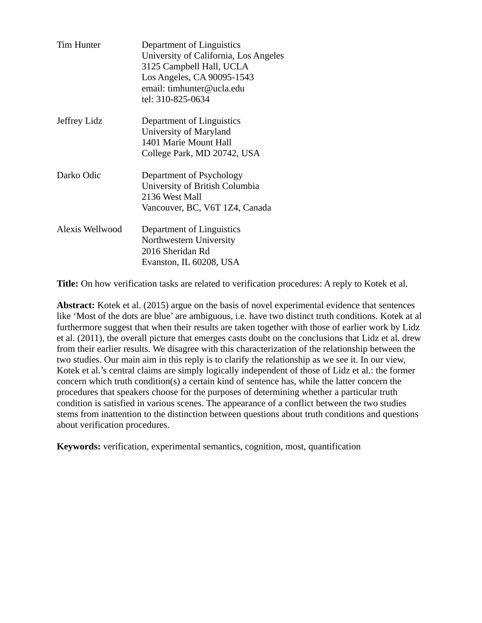| Tim Hunter      | Department of Linguistics<br>University of California, Los Angeles<br>3125 Campbell Hall, UCLA<br>Los Angeles, CA 90095-1543<br>email: timhunter@ucla.edu<br>tel: 310-825-0634 |
|-----------------|--------------------------------------------------------------------------------------------------------------------------------------------------------------------------------|
| Jeffrey Lidz    | Department of Linguistics<br>University of Maryland<br>1401 Marie Mount Hall<br>College Park, MD 20742, USA                                                                    |
| Darko Odic      | Department of Psychology<br>University of British Columbia<br>2136 West Mall<br>Vancouver, BC, V6T 1Z4, Canada                                                                 |
| Alexis Wellwood | Department of Linguistics<br>Northwestern University<br>2016 Sheridan Rd<br>Evanston, IL 60208, USA                                                                            |

**Title:** On how verification tasks are related to verification procedures: A reply to Kotek et al.

**Abstract:** Kotek et al. (2015) argue on the basis of novel experimental evidence that sentences like 'Most of the dots are blue' are ambiguous, i.e. have two distinct truth conditions. Kotek at al furthermore suggest that when their results are taken together with those of earlier work by Lidz et al. (2011), the overall picture that emerges casts doubt on the conclusions that Lidz et al. drew from their earlier results. We disagree with this characterization of the relationship between the two studies. Our main aim in this reply is to clarify the relationship as we see it. In our view, Kotek et al.'s central claims are simply logically independent of those of Lidz et al.: the former concern which truth condition(s) a certain kind of sentence has, while the latter concern the procedures that speakers choose for the purposes of determining whether a particular truth condition is satisfied in various scenes. The appearance of a conflict between the two studies stems from inattention to the distinction between questions about truth conditions and questions about verification procedures.

**Keywords:** verification, experimental semantics, cognition, most, quantification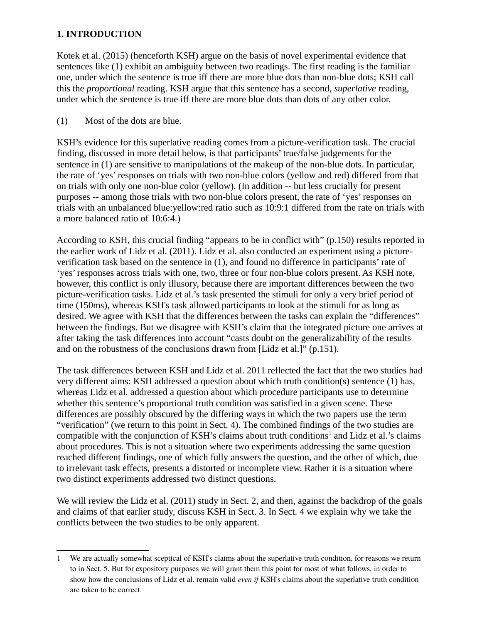### **1. INTRODUCTION**

Kotek et al. (2015) (henceforth KSH) argue on the basis of novel experimental evidence that sentences like (1) exhibit an ambiguity between two readings. The first reading is the familiar one, under which the sentence is true iff there are more blue dots than non-blue dots; KSH call this the *proportional* reading. KSH argue that this sentence has a second, *superlative* reading, under which the sentence is true iff there are more blue dots than dots of any other color.

(1) Most of the dots are blue.

KSH's evidence for this superlative reading comes from a picture-verification task. The crucial finding, discussed in more detail below, is that participants' true/false judgements for the sentence in (1) are sensitive to manipulations of the makeup of the non-blue dots. In particular, the rate of 'yes' responses on trials with two non-blue colors (yellow and red) differed from that on trials with only one non-blue color (yellow). (In addition -- but less crucially for present purposes -- among those trials with two non-blue colors present, the rate of 'yes' responses on trials with an unbalanced blue:yellow:red ratio such as 10:9:1 differed from the rate on trials with a more balanced ratio of 10:6:4.)

According to KSH, this crucial finding "appears to be in conflict with" (p.150) results reported in the earlier work of Lidz et al. (2011). Lidz et al. also conducted an experiment using a pictureverification task based on the sentence in (1), and found no difference in participants' rate of 'yes' responses across trials with one, two, three or four non-blue colors present. As KSH note, however, this conflict is only illusory, because there are important differences between the two picture-verification tasks. Lidz et al.'s task presented the stimuli for only a very brief period of time (150ms), whereas KSH's task allowed participants to look at the stimuli for as long as desired. We agree with KSH that the differences between the tasks can explain the "differences" between the findings. But we disagree with KSH's claim that the integrated picture one arrives at after taking the task differences into account "casts doubt on the generalizability of the results and on the robustness of the conclusions drawn from [Lidz et al.]" (p.151).

The task differences between KSH and Lidz et al. 2011 reflected the fact that the two studies had very different aims: KSH addressed a question about which truth condition(s) sentence (1) has, whereas Lidz et al. addressed a question about which procedure participants use to determine whether this sentence's proportional truth condition was satisfied in a given scene. These differences are possibly obscured by the differing ways in which the two papers use the term "verification" (we return to this point in Sect. 4). The combined findings of the two studies are compatible with the conjunction of KSH's claims about truth conditions<sup>[1](#page-1-0)</sup> and Lidz et al.'s claims about procedures. This is not a situation where two experiments addressing the same question reached different findings, one of which fully answers the question, and the other of which, due to irrelevant task effects, presents a distorted or incomplete view. Rather it is a situation where two distinct experiments addressed two distinct questions.

We will review the Lidz et al. (2011) study in Sect. 2, and then, against the backdrop of the goals and claims of that earlier study, discuss KSH in Sect. 3. In Sect. 4 we explain why we take the conflicts between the two studies to be only apparent.

<span id="page-1-0"></span><sup>1</sup> We are actually somewhat sceptical of KSH's claims about the superlative truth condition, for reasons we return to in Sect. 5. But for expository purposes we will grant them this point for most of what follows, in order to show how the conclusions of Lidz et al. remain valid *even if* KSH's claims about the superlative truth condition are taken to be correct.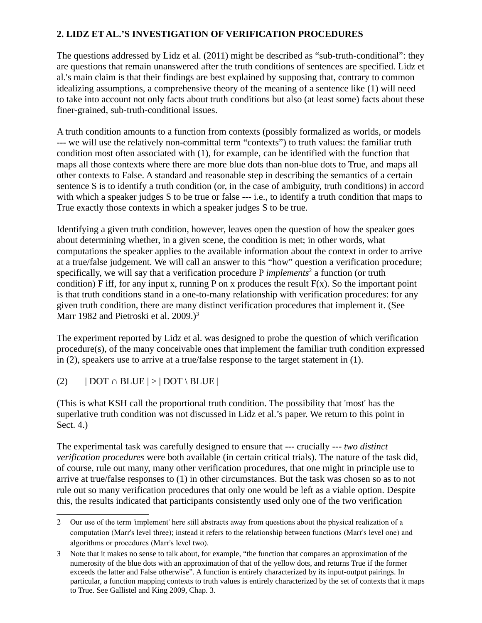# **2. LIDZ ET AL.'S INVESTIGATION OF VERIFICATION PROCEDURES**

The questions addressed by Lidz et al. (2011) might be described as "sub-truth-conditional": they are questions that remain unanswered after the truth conditions of sentences are specified. Lidz et al.'s main claim is that their findings are best explained by supposing that, contrary to common idealizing assumptions, a comprehensive theory of the meaning of a sentence like (1) will need to take into account not only facts about truth conditions but also (at least some) facts about these finer-grained, sub-truth-conditional issues.

A truth condition amounts to a function from contexts (possibly formalized as worlds, or models --- we will use the relatively non-committal term "contexts") to truth values: the familiar truth condition most often associated with (1), for example, can be identified with the function that maps all those contexts where there are more blue dots than non-blue dots to True, and maps all other contexts to False. A standard and reasonable step in describing the semantics of a certain sentence S is to identify a truth condition (or, in the case of ambiguity, truth conditions) in accord with which a speaker judges S to be true or false --- i.e., to identify a truth condition that maps to True exactly those contexts in which a speaker judges S to be true.

Identifying a given truth condition, however, leaves open the question of how the speaker goes about determining whether, in a given scene, the condition is met; in other words, what computations the speaker applies to the available information about the context in order to arrive at a true/false judgement. We will call an answer to this "how" question a verification procedure; specifically, we will say that a verification procedure P *implements*<sup>[2](#page-2-0)</sup> a function (or truth condition) F iff, for any input x, running P on x produces the result  $F(x)$ . So the important point is that truth conditions stand in a one-to-many relationship with verification procedures: for any given truth condition, there are many distinct verification procedures that implement it. (See Marr 1982 and Pietroski et al. 2009. $3^3$  $3^3$ 

The experiment reported by Lidz et al. was designed to probe the question of which verification procedure(s), of the many conceivable ones that implement the familiar truth condition expressed in (2), speakers use to arrive at a true/false response to the target statement in (1).

 $(2)$  | DOT ∩ BLUE | > | DOT \ BLUE |

(This is what KSH call the proportional truth condition. The possibility that 'most' has the superlative truth condition was not discussed in Lidz et al.'s paper. We return to this point in Sect. 4.)

The experimental task was carefully designed to ensure that --- crucially --- *two distinct verification procedures* were both available (in certain critical trials). The nature of the task did, of course, rule out many, many other verification procedures, that one might in principle use to arrive at true/false responses to (1) in other circumstances. But the task was chosen so as to not rule out so many verification procedures that only one would be left as a viable option. Despite this, the results indicated that participants consistently used only one of the two verification

<span id="page-2-0"></span><sup>2</sup> Our use of the term 'implement' here still abstracts away from questions about the physical realization of a computation (Marr's level three); instead it refers to the relationship between functions (Marr's level one) and algorithms or procedures (Marr's level two).

<span id="page-2-1"></span><sup>3</sup> Note that it makes no sense to talk about, for example, "the function that compares an approximation of the numerosity of the blue dots with an approximation of that of the yellow dots, and returns True if the former exceeds the latter and False otherwise". A function is entirely characterized by its input-output pairings. In particular, a function mapping contexts to truth values is entirely characterized by the set of contexts that it maps to True. See Gallistel and King 2009, Chap. 3.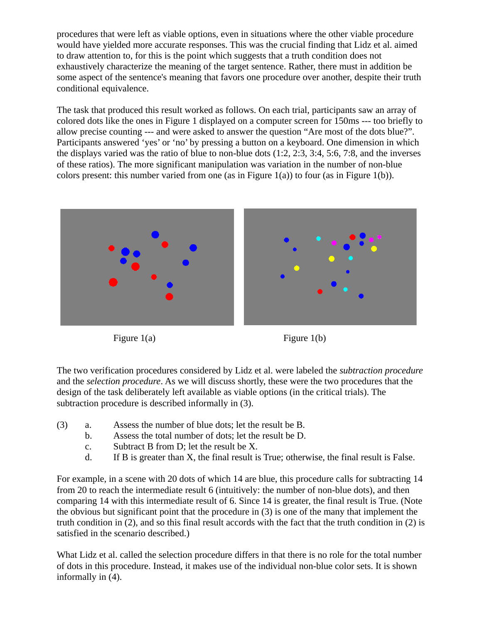procedures that were left as viable options, even in situations where the other viable procedure would have yielded more accurate responses. This was the crucial finding that Lidz et al. aimed to draw attention to, for this is the point which suggests that a truth condition does not exhaustively characterize the meaning of the target sentence. Rather, there must in addition be some aspect of the sentence's meaning that favors one procedure over another, despite their truth conditional equivalence.

The task that produced this result worked as follows. On each trial, participants saw an array of colored dots like the ones in Figure 1 displayed on a computer screen for 150ms --- too briefly to allow precise counting --- and were asked to answer the question "Are most of the dots blue?". Participants answered 'yes' or 'no' by pressing a button on a keyboard. One dimension in which the displays varied was the ratio of blue to non-blue dots (1:2, 2:3, 3:4, 5:6, 7:8, and the inverses of these ratios). The more significant manipulation was variation in the number of non-blue colors present: this number varied from one (as in Figure  $1(a)$ ) to four (as in Figure  $1(b)$ ).



Figure 1(a) Figure 1(b)

The two verification procedures considered by Lidz et al. were labeled the *subtraction procedure* and the *selection procedure*. As we will discuss shortly, these were the two procedures that the design of the task deliberately left available as viable options (in the critical trials). The subtraction procedure is described informally in (3).

- (3) a. Assess the number of blue dots; let the result be B.
	- b. Assess the total number of dots; let the result be D.
	- c. Subtract B from D; let the result be X.
	- d. If B is greater than X, the final result is True; otherwise, the final result is False.

For example, in a scene with 20 dots of which 14 are blue, this procedure calls for subtracting 14 from 20 to reach the intermediate result 6 (intuitively: the number of non-blue dots), and then comparing 14 with this intermediate result of 6. Since 14 is greater, the final result is True. (Note the obvious but significant point that the procedure in (3) is one of the many that implement the truth condition in (2), and so this final result accords with the fact that the truth condition in (2) is satisfied in the scenario described.)

What Lidz et al. called the selection procedure differs in that there is no role for the total number of dots in this procedure. Instead, it makes use of the individual non-blue color sets. It is shown informally in (4).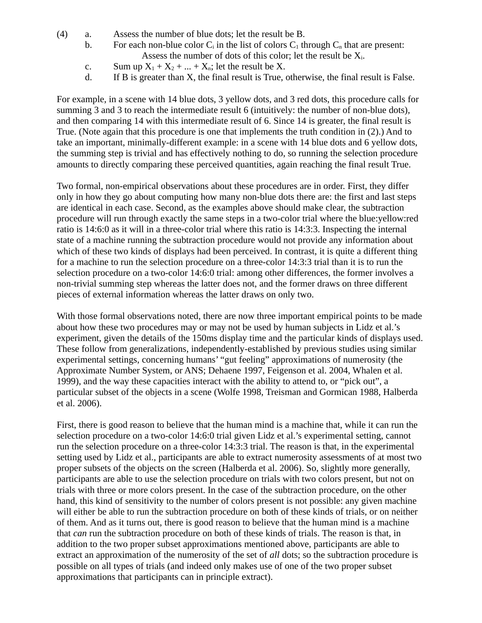- (4) a. Assess the number of blue dots; let the result be B.
	- b. For each non-blue color  $C_i$  in the list of colors  $C_1$  through  $C_n$  that are present: Assess the number of dots of this color; let the result be  $X_i$ .
	- c. Sum up  $X_1 + X_2 + ... + X_n$ ; let the result be X.
	- d. If B is greater than X, the final result is True, otherwise, the final result is False.

For example, in a scene with 14 blue dots, 3 yellow dots, and 3 red dots, this procedure calls for summing 3 and 3 to reach the intermediate result 6 (intuitively: the number of non-blue dots), and then comparing 14 with this intermediate result of 6. Since 14 is greater, the final result is True. (Note again that this procedure is one that implements the truth condition in (2).) And to take an important, minimally-different example: in a scene with 14 blue dots and 6 yellow dots, the summing step is trivial and has effectively nothing to do, so running the selection procedure amounts to directly comparing these perceived quantities, again reaching the final result True.

Two formal, non-empirical observations about these procedures are in order. First, they differ only in how they go about computing how many non-blue dots there are: the first and last steps are identical in each case. Second, as the examples above should make clear, the subtraction procedure will run through exactly the same steps in a two-color trial where the blue:yellow:red ratio is 14:6:0 as it will in a three-color trial where this ratio is 14:3:3. Inspecting the internal state of a machine running the subtraction procedure would not provide any information about which of these two kinds of displays had been perceived. In contrast, it is quite a different thing for a machine to run the selection procedure on a three-color 14:3:3 trial than it is to run the selection procedure on a two-color 14:6:0 trial: among other differences, the former involves a non-trivial summing step whereas the latter does not, and the former draws on three different pieces of external information whereas the latter draws on only two.

With those formal observations noted, there are now three important empirical points to be made about how these two procedures may or may not be used by human subjects in Lidz et al.'s experiment, given the details of the 150ms display time and the particular kinds of displays used. These follow from generalizations, independently-established by previous studies using similar experimental settings, concerning humans' "gut feeling" approximations of numerosity (the Approximate Number System, or ANS; Dehaene 1997, Feigenson et al. 2004, Whalen et al. 1999), and the way these capacities interact with the ability to attend to, or "pick out", a particular subset of the objects in a scene (Wolfe 1998, Treisman and Gormican 1988, Halberda et al. 2006).

First, there is good reason to believe that the human mind is a machine that, while it can run the selection procedure on a two-color 14:6:0 trial given Lidz et al.'s experimental setting, cannot run the selection procedure on a three-color 14:3:3 trial. The reason is that, in the experimental setting used by Lidz et al., participants are able to extract numerosity assessments of at most two proper subsets of the objects on the screen (Halberda et al. 2006). So, slightly more generally, participants are able to use the selection procedure on trials with two colors present, but not on trials with three or more colors present. In the case of the subtraction procedure, on the other hand, this kind of sensitivity to the number of colors present is not possible: any given machine will either be able to run the subtraction procedure on both of these kinds of trials, or on neither of them. And as it turns out, there is good reason to believe that the human mind is a machine that *can* run the subtraction procedure on both of these kinds of trials. The reason is that, in addition to the two proper subset approximations mentioned above, participants are able to extract an approximation of the numerosity of the set of *all* dots; so the subtraction procedure is possible on all types of trials (and indeed only makes use of one of the two proper subset approximations that participants can in principle extract).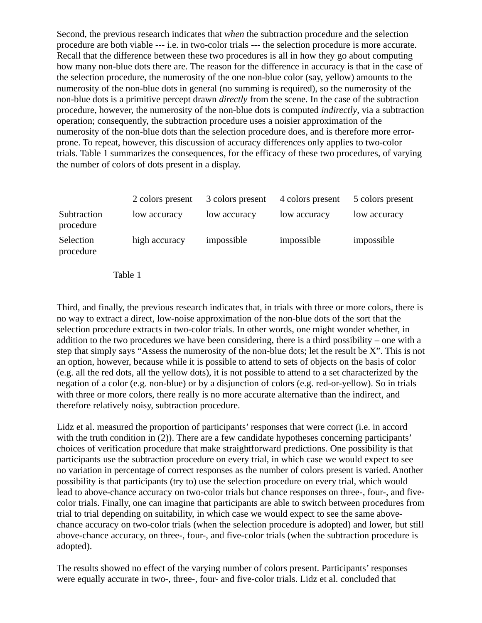Second, the previous research indicates that *when* the subtraction procedure and the selection procedure are both viable --- i.e. in two-color trials --- the selection procedure is more accurate. Recall that the difference between these two procedures is all in how they go about computing how many non-blue dots there are. The reason for the difference in accuracy is that in the case of the selection procedure, the numerosity of the one non-blue color (say, yellow) amounts to the numerosity of the non-blue dots in general (no summing is required), so the numerosity of the non-blue dots is a primitive percept drawn *directly* from the scene. In the case of the subtraction procedure, however, the numerosity of the non-blue dots is computed *indirectly*, via a subtraction operation; consequently, the subtraction procedure uses a noisier approximation of the numerosity of the non-blue dots than the selection procedure does, and is therefore more errorprone. To repeat, however, this discussion of accuracy differences only applies to two-color trials. Table 1 summarizes the consequences, for the efficacy of these two procedures, of varying the number of colors of dots present in a display.

|                          | 2 colors present | 3 colors present | 4 colors present | 5 colors present |
|--------------------------|------------------|------------------|------------------|------------------|
| Subtraction<br>procedure | low accuracy     | low accuracy     | low accuracy     | low accuracy     |
| Selection<br>procedure   | high accuracy    | impossible       | impossible       | impossible       |

Table 1

Third, and finally, the previous research indicates that, in trials with three or more colors, there is no way to extract a direct, low-noise approximation of the non-blue dots of the sort that the selection procedure extracts in two-color trials. In other words, one might wonder whether, in addition to the two procedures we have been considering, there is a third possibility – one with a step that simply says "Assess the numerosity of the non-blue dots; let the result be X". This is not an option, however, because while it is possible to attend to sets of objects on the basis of color (e.g. all the red dots, all the yellow dots), it is not possible to attend to a set characterized by the negation of a color (e.g. non-blue) or by a disjunction of colors (e.g. red-or-yellow). So in trials with three or more colors, there really is no more accurate alternative than the indirect, and therefore relatively noisy, subtraction procedure.

Lidz et al. measured the proportion of participants' responses that were correct (i.e. in accord with the truth condition in (2)). There are a few candidate hypotheses concerning participants' choices of verification procedure that make straightforward predictions. One possibility is that participants use the subtraction procedure on every trial, in which case we would expect to see no variation in percentage of correct responses as the number of colors present is varied. Another possibility is that participants (try to) use the selection procedure on every trial, which would lead to above-chance accuracy on two-color trials but chance responses on three-, four-, and fivecolor trials. Finally, one can imagine that participants are able to switch between procedures from trial to trial depending on suitability, in which case we would expect to see the same abovechance accuracy on two-color trials (when the selection procedure is adopted) and lower, but still above-chance accuracy, on three-, four-, and five-color trials (when the subtraction procedure is adopted).

The results showed no effect of the varying number of colors present. Participants' responses were equally accurate in two-, three-, four- and five-color trials. Lidz et al. concluded that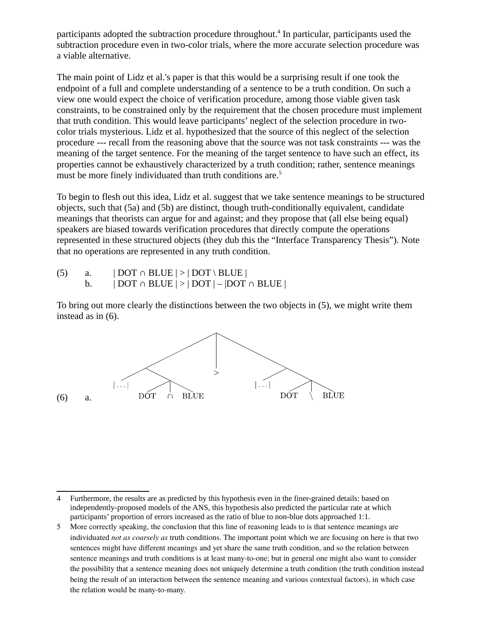participants adopted the subtraction procedure throughout.<sup>[4](#page-6-0)</sup> In particular, participants used the subtraction procedure even in two-color trials, where the more accurate selection procedure was a viable alternative.

The main point of Lidz et al.'s paper is that this would be a surprising result if one took the endpoint of a full and complete understanding of a sentence to be a truth condition. On such a view one would expect the choice of verification procedure, among those viable given task constraints, to be constrained only by the requirement that the chosen procedure must implement that truth condition. This would leave participants' neglect of the selection procedure in twocolor trials mysterious. Lidz et al. hypothesized that the source of this neglect of the selection procedure --- recall from the reasoning above that the source was not task constraints --- was the meaning of the target sentence. For the meaning of the target sentence to have such an effect, its properties cannot be exhaustively characterized by a truth condition; rather, sentence meanings must be more finely individuated than truth conditions are.<sup>[5](#page-6-1)</sup>

To begin to flesh out this idea, Lidz et al. suggest that we take sentence meanings to be structured objects, such that (5a) and (5b) are distinct, though truth-conditionally equivalent, candidate meanings that theorists can argue for and against; and they propose that (all else being equal) speakers are biased towards verification procedures that directly compute the operations represented in these structured objects (they dub this the "Interface Transparency Thesis"). Note that no operations are represented in any truth condition.

(5) a.  $|$  DOT ∩ BLUE  $|$  >  $|$  DOT \ BLUE  $|$ b.  $|$ DOT ∩ BLUE  $|$ > $|$ DOT  $|$  –  $|$ DOT ∩ BLUE  $|$ 

To bring out more clearly the distinctions between the two objects in (5), we might write them instead as in (6).



<span id="page-6-0"></span><sup>4</sup> Furthermore, the results are as predicted by this hypothesis even in the finer-grained details: based on independently-proposed models of the ANS, this hypothesis also predicted the particular rate at which participants' proportion of errors increased as the ratio of blue to non-blue dots approached 1:1.

<span id="page-6-1"></span><sup>5</sup> More correctly speaking, the conclusion that this line of reasoning leads to is that sentence meanings are individuated *not as coarsely as* truth conditions. The important point which we are focusing on here is that two sentences might have different meanings and yet share the same truth condition, and so the relation between sentence meanings and truth conditions is at least many-to-one; but in general one might also want to consider the possibility that a sentence meaning does not uniquely determine a truth condition (the truth condition instead being the result of an interaction between the sentence meaning and various contextual factors), in which case the relation would be many-to-many.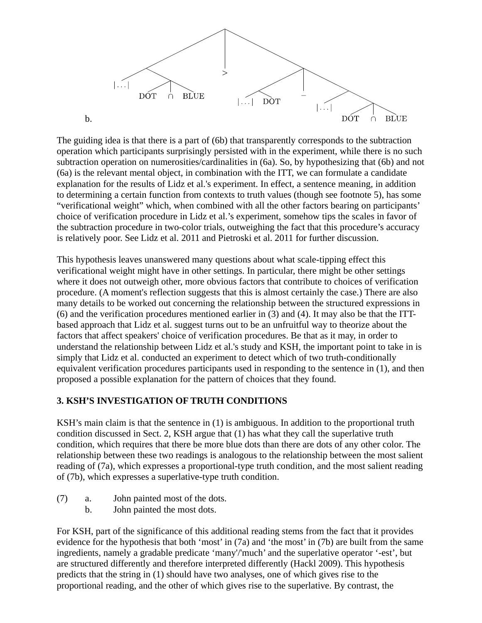

The guiding idea is that there is a part of (6b) that transparently corresponds to the subtraction operation which participants surprisingly persisted with in the experiment, while there is no such subtraction operation on numerosities/cardinalities in (6a). So, by hypothesizing that (6b) and not (6a) is the relevant mental object, in combination with the ITT, we can formulate a candidate explanation for the results of Lidz et al.'s experiment. In effect, a sentence meaning, in addition to determining a certain function from contexts to truth values (though see footnote [5\)](#page-6-1), has some "verificational weight" which, when combined with all the other factors bearing on participants' choice of verification procedure in Lidz et al.'s experiment, somehow tips the scales in favor of the subtraction procedure in two-color trials, outweighing the fact that this procedure's accuracy is relatively poor. See Lidz et al. 2011 and Pietroski et al. 2011 for further discussion.

This hypothesis leaves unanswered many questions about what scale-tipping effect this verificational weight might have in other settings. In particular, there might be other settings where it does not outweigh other, more obvious factors that contribute to choices of verification procedure. (A moment's reflection suggests that this is almost certainly the case.) There are also many details to be worked out concerning the relationship between the structured expressions in (6) and the verification procedures mentioned earlier in (3) and (4). It may also be that the ITTbased approach that Lidz et al. suggest turns out to be an unfruitful way to theorize about the factors that affect speakers' choice of verification procedures. Be that as it may, in order to understand the relationship between Lidz et al.'s study and KSH, the important point to take in is simply that Lidz et al. conducted an experiment to detect which of two truth-conditionally equivalent verification procedures participants used in responding to the sentence in (1), and then proposed a possible explanation for the pattern of choices that they found.

#### **3. KSH'S INVESTIGATION OF TRUTH CONDITIONS**

KSH's main claim is that the sentence in (1) is ambiguous. In addition to the proportional truth condition discussed in Sect. 2, KSH argue that (1) has what they call the superlative truth condition, which requires that there be more blue dots than there are dots of any other color. The relationship between these two readings is analogous to the relationship between the most salient reading of (7a), which expresses a proportional-type truth condition, and the most salient reading of (7b), which expresses a superlative-type truth condition.

- (7) a. John painted most of the dots.
	- b. John painted the most dots.

For KSH, part of the significance of this additional reading stems from the fact that it provides evidence for the hypothesis that both 'most' in (7a) and 'the most' in (7b) are built from the same ingredients, namely a gradable predicate 'many'/'much' and the superlative operator '-est', but are structured differently and therefore interpreted differently (Hackl 2009). This hypothesis predicts that the string in (1) should have two analyses, one of which gives rise to the proportional reading, and the other of which gives rise to the superlative. By contrast, the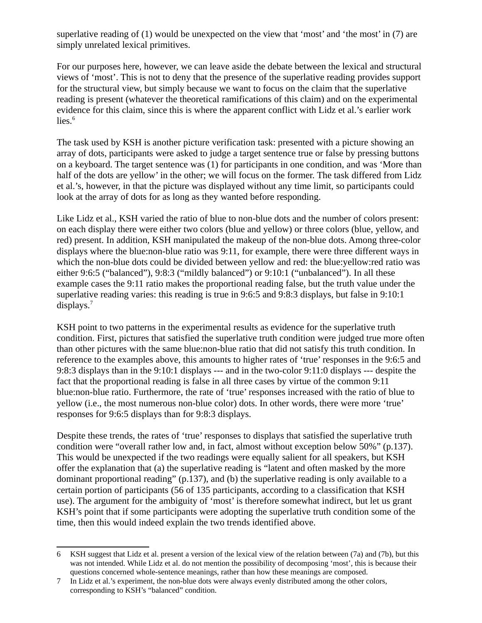superlative reading of (1) would be unexpected on the view that 'most' and 'the most' in (7) are simply unrelated lexical primitives.

For our purposes here, however, we can leave aside the debate between the lexical and structural views of 'most'. This is not to deny that the presence of the superlative reading provides support for the structural view, but simply because we want to focus on the claim that the superlative reading is present (whatever the theoretical ramifications of this claim) and on the experimental evidence for this claim, since this is where the apparent conflict with Lidz et al.'s earlier work  $lies.<sup>6</sup>$  $lies.<sup>6</sup>$  $lies.<sup>6</sup>$ 

The task used by KSH is another picture verification task: presented with a picture showing an array of dots, participants were asked to judge a target sentence true or false by pressing buttons on a keyboard. The target sentence was (1) for participants in one condition, and was 'More than half of the dots are yellow' in the other; we will focus on the former. The task differed from Lidz et al.'s, however, in that the picture was displayed without any time limit, so participants could look at the array of dots for as long as they wanted before responding.

Like Lidz et al., KSH varied the ratio of blue to non-blue dots and the number of colors present: on each display there were either two colors (blue and yellow) or three colors (blue, yellow, and red) present. In addition, KSH manipulated the makeup of the non-blue dots. Among three-color displays where the blue:non-blue ratio was 9:11, for example, there were three different ways in which the non-blue dots could be divided between yellow and red: the blue:yellow:red ratio was either 9:6:5 ("balanced"), 9:8:3 ("mildly balanced") or 9:10:1 ("unbalanced"). In all these example cases the 9:11 ratio makes the proportional reading false, but the truth value under the superlative reading varies: this reading is true in 9:6:5 and 9:8:3 displays, but false in 9:10:1 displays.<sup>[7](#page-8-1)</sup>

KSH point to two patterns in the experimental results as evidence for the superlative truth condition. First, pictures that satisfied the superlative truth condition were judged true more often than other pictures with the same blue:non-blue ratio that did not satisfy this truth condition. In reference to the examples above, this amounts to higher rates of 'true' responses in the 9:6:5 and 9:8:3 displays than in the 9:10:1 displays --- and in the two-color 9:11:0 displays --- despite the fact that the proportional reading is false in all three cases by virtue of the common 9:11 blue:non-blue ratio. Furthermore, the rate of 'true' responses increased with the ratio of blue to yellow (i.e., the most numerous non-blue color) dots. In other words, there were more 'true' responses for 9:6:5 displays than for 9:8:3 displays.

Despite these trends, the rates of 'true' responses to displays that satisfied the superlative truth condition were "overall rather low and, in fact, almost without exception below 50%" (p.137). This would be unexpected if the two readings were equally salient for all speakers, but KSH offer the explanation that (a) the superlative reading is "latent and often masked by the more dominant proportional reading" (p.137), and (b) the superlative reading is only available to a certain portion of participants (56 of 135 participants, according to a classification that KSH use). The argument for the ambiguity of 'most' is therefore somewhat indirect, but let us grant KSH's point that if some participants were adopting the superlative truth condition some of the time, then this would indeed explain the two trends identified above.

<span id="page-8-0"></span><sup>6</sup> KSH suggest that Lidz et al. present a version of the lexical view of the relation between (7a) and (7b), but this was not intended. While Lidz et al. do not mention the possibility of decomposing 'most', this is because their questions concerned whole-sentence meanings, rather than how these meanings are composed.

<span id="page-8-1"></span><sup>7</sup> In Lidz et al.'s experiment, the non-blue dots were always evenly distributed among the other colors, corresponding to KSH's "balanced" condition.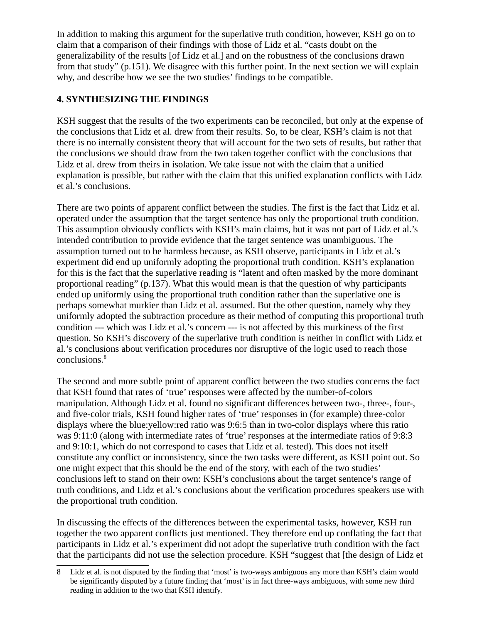In addition to making this argument for the superlative truth condition, however, KSH go on to claim that a comparison of their findings with those of Lidz et al. "casts doubt on the generalizability of the results [of Lidz et al.] and on the robustness of the conclusions drawn from that study" (p.151). We disagree with this further point. In the next section we will explain why, and describe how we see the two studies' findings to be compatible.

# **4. SYNTHESIZING THE FINDINGS**

KSH suggest that the results of the two experiments can be reconciled, but only at the expense of the conclusions that Lidz et al. drew from their results. So, to be clear, KSH's claim is not that there is no internally consistent theory that will account for the two sets of results, but rather that the conclusions we should draw from the two taken together conflict with the conclusions that Lidz et al. drew from theirs in isolation. We take issue not with the claim that a unified explanation is possible, but rather with the claim that this unified explanation conflicts with Lidz et al.'s conclusions.

There are two points of apparent conflict between the studies. The first is the fact that Lidz et al. operated under the assumption that the target sentence has only the proportional truth condition. This assumption obviously conflicts with KSH's main claims, but it was not part of Lidz et al.'s intended contribution to provide evidence that the target sentence was unambiguous. The assumption turned out to be harmless because, as KSH observe, participants in Lidz et al.'s experiment did end up uniformly adopting the proportional truth condition. KSH's explanation for this is the fact that the superlative reading is "latent and often masked by the more dominant proportional reading" (p.137). What this would mean is that the question of why participants ended up uniformly using the proportional truth condition rather than the superlative one is perhaps somewhat murkier than Lidz et al. assumed. But the other question, namely why they uniformly adopted the subtraction procedure as their method of computing this proportional truth condition --- which was Lidz et al.'s concern --- is not affected by this murkiness of the first question. So KSH's discovery of the superlative truth condition is neither in conflict with Lidz et al.'s conclusions about verification procedures nor disruptive of the logic used to reach those conclusions.<sup>[8](#page-9-0)</sup>

The second and more subtle point of apparent conflict between the two studies concerns the fact that KSH found that rates of 'true' responses were affected by the number-of-colors manipulation. Although Lidz et al. found no significant differences between two-, three-, four-, and five-color trials, KSH found higher rates of 'true' responses in (for example) three-color displays where the blue:yellow:red ratio was 9:6:5 than in two-color displays where this ratio was 9:11:0 (along with intermediate rates of 'true' responses at the intermediate ratios of 9:8:3 and 9:10:1, which do not correspond to cases that Lidz et al. tested). This does not itself constitute any conflict or inconsistency, since the two tasks were different, as KSH point out. So one might expect that this should be the end of the story, with each of the two studies' conclusions left to stand on their own: KSH's conclusions about the target sentence's range of truth conditions, and Lidz et al.'s conclusions about the verification procedures speakers use with the proportional truth condition.

In discussing the effects of the differences between the experimental tasks, however, KSH run together the two apparent conflicts just mentioned. They therefore end up conflating the fact that participants in Lidz et al.'s experiment did not adopt the superlative truth condition with the fact that the participants did not use the selection procedure. KSH "suggest that [the design of Lidz et

<span id="page-9-0"></span><sup>8</sup> Lidz et al. is not disputed by the finding that 'most' is two-ways ambiguous any more than KSH's claim would be significantly disputed by a future finding that 'most' is in fact three-ways ambiguous, with some new third reading in addition to the two that KSH identify.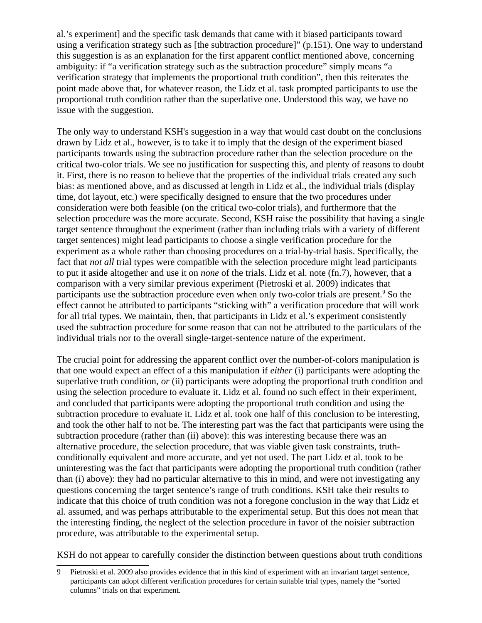al.'s experiment] and the specific task demands that came with it biased participants toward using a verification strategy such as [the subtraction procedure]" (p.151). One way to understand this suggestion is as an explanation for the first apparent conflict mentioned above, concerning ambiguity: if "a verification strategy such as the subtraction procedure" simply means "a verification strategy that implements the proportional truth condition", then this reiterates the point made above that, for whatever reason, the Lidz et al. task prompted participants to use the proportional truth condition rather than the superlative one. Understood this way, we have no issue with the suggestion.

The only way to understand KSH's suggestion in a way that would cast doubt on the conclusions drawn by Lidz et al., however, is to take it to imply that the design of the experiment biased participants towards using the subtraction procedure rather than the selection procedure on the critical two-color trials. We see no justification for suspecting this, and plenty of reasons to doubt it. First, there is no reason to believe that the properties of the individual trials created any such bias: as mentioned above, and as discussed at length in Lidz et al., the individual trials (display time, dot layout, etc.) were specifically designed to ensure that the two procedures under consideration were both feasible (on the critical two-color trials), and furthermore that the selection procedure was the more accurate. Second, KSH raise the possibility that having a single target sentence throughout the experiment (rather than including trials with a variety of different target sentences) might lead participants to choose a single verification procedure for the experiment as a whole rather than choosing procedures on a trial-by-trial basis. Specifically, the fact that *not all* trial types were compatible with the selection procedure might lead participants to put it aside altogether and use it on *none* of the trials. Lidz et al. note (fn.7), however, that a comparison with a very similar previous experiment (Pietroski et al. 2009) indicates that participants use the subtraction procedure even when only two-color trials are present.<sup>[9](#page-10-0)</sup> So the effect cannot be attributed to participants "sticking with" a verification procedure that will work for all trial types. We maintain, then, that participants in Lidz et al.'s experiment consistently used the subtraction procedure for some reason that can not be attributed to the particulars of the individual trials nor to the overall single-target-sentence nature of the experiment.

The crucial point for addressing the apparent conflict over the number-of-colors manipulation is that one would expect an effect of a this manipulation if *either* (i) participants were adopting the superlative truth condition, *or* (ii) participants were adopting the proportional truth condition and using the selection procedure to evaluate it. Lidz et al. found no such effect in their experiment, and concluded that participants were adopting the proportional truth condition and using the subtraction procedure to evaluate it. Lidz et al. took one half of this conclusion to be interesting, and took the other half to not be. The interesting part was the fact that participants were using the subtraction procedure (rather than (ii) above): this was interesting because there was an alternative procedure, the selection procedure, that was viable given task constraints, truthconditionally equivalent and more accurate, and yet not used. The part Lidz et al. took to be uninteresting was the fact that participants were adopting the proportional truth condition (rather than (i) above): they had no particular alternative to this in mind, and were not investigating any questions concerning the target sentence's range of truth conditions. KSH take their results to indicate that this choice of truth condition was not a foregone conclusion in the way that Lidz et al. assumed, and was perhaps attributable to the experimental setup. But this does not mean that the interesting finding, the neglect of the selection procedure in favor of the noisier subtraction procedure, was attributable to the experimental setup.

KSH do not appear to carefully consider the distinction between questions about truth conditions

<span id="page-10-0"></span><sup>9</sup> Pietroski et al. 2009 also provides evidence that in this kind of experiment with an invariant target sentence, participants can adopt different verification procedures for certain suitable trial types, namely the "sorted columns" trials on that experiment.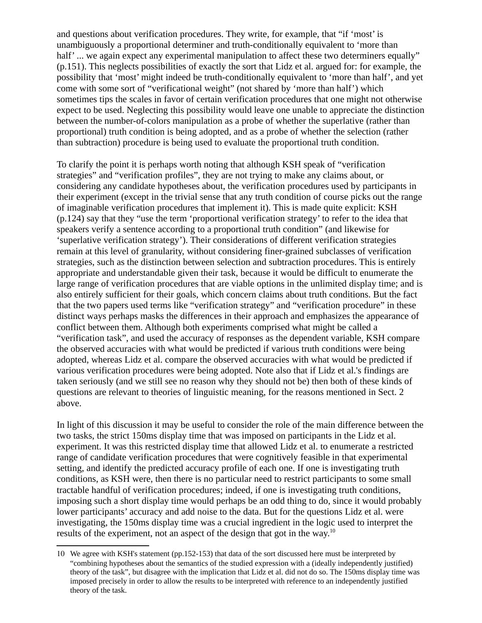and questions about verification procedures. They write, for example, that "if 'most' is unambiguously a proportional determiner and truth-conditionally equivalent to 'more than half' ... we again expect any experimental manipulation to affect these two determiners equally" (p.151). This neglects possibilities of exactly the sort that Lidz et al. argued for: for example, the possibility that 'most' might indeed be truth-conditionally equivalent to 'more than half', and yet come with some sort of "verificational weight" (not shared by 'more than half') which sometimes tips the scales in favor of certain verification procedures that one might not otherwise expect to be used. Neglecting this possibility would leave one unable to appreciate the distinction between the number-of-colors manipulation as a probe of whether the superlative (rather than proportional) truth condition is being adopted, and as a probe of whether the selection (rather than subtraction) procedure is being used to evaluate the proportional truth condition.

To clarify the point it is perhaps worth noting that although KSH speak of "verification strategies" and "verification profiles", they are not trying to make any claims about, or considering any candidate hypotheses about, the verification procedures used by participants in their experiment (except in the trivial sense that any truth condition of course picks out the range of imaginable verification procedures that implement it). This is made quite explicit: KSH (p.124) say that they "use the term 'proportional verification strategy' to refer to the idea that speakers verify a sentence according to a proportional truth condition" (and likewise for 'superlative verification strategy'). Their considerations of different verification strategies remain at this level of granularity, without considering finer-grained subclasses of verification strategies, such as the distinction between selection and subtraction procedures. This is entirely appropriate and understandable given their task, because it would be difficult to enumerate the large range of verification procedures that are viable options in the unlimited display time; and is also entirely sufficient for their goals, which concern claims about truth conditions. But the fact that the two papers used terms like "verification strategy" and "verification procedure" in these distinct ways perhaps masks the differences in their approach and emphasizes the appearance of conflict between them. Although both experiments comprised what might be called a "verification task", and used the accuracy of responses as the dependent variable, KSH compare the observed accuracies with what would be predicted if various truth conditions were being adopted, whereas Lidz et al. compare the observed accuracies with what would be predicted if various verification procedures were being adopted. Note also that if Lidz et al.'s findings are taken seriously (and we still see no reason why they should not be) then both of these kinds of questions are relevant to theories of linguistic meaning, for the reasons mentioned in Sect. 2 above.

In light of this discussion it may be useful to consider the role of the main difference between the two tasks, the strict 150ms display time that was imposed on participants in the Lidz et al. experiment. It was this restricted display time that allowed Lidz et al. to enumerate a restricted range of candidate verification procedures that were cognitively feasible in that experimental setting, and identify the predicted accuracy profile of each one. If one is investigating truth conditions, as KSH were, then there is no particular need to restrict participants to some small tractable handful of verification procedures; indeed, if one is investigating truth conditions, imposing such a short display time would perhaps be an odd thing to do, since it would probably lower participants' accuracy and add noise to the data. But for the questions Lidz et al. were investigating, the 150ms display time was a crucial ingredient in the logic used to interpret the results of the experiment, not an aspect of the design that got in the way.<sup>[10](#page-11-0)</sup>

<span id="page-11-0"></span><sup>10</sup> We agree with KSH's statement (pp.152-153) that data of the sort discussed here must be interpreted by "combining hypotheses about the semantics of the studied expression with a (ideally independently justified) theory of the task", but disagree with the implication that Lidz et al. did not do so. The 150ms display time was imposed precisely in order to allow the results to be interpreted with reference to an independently justified theory of the task.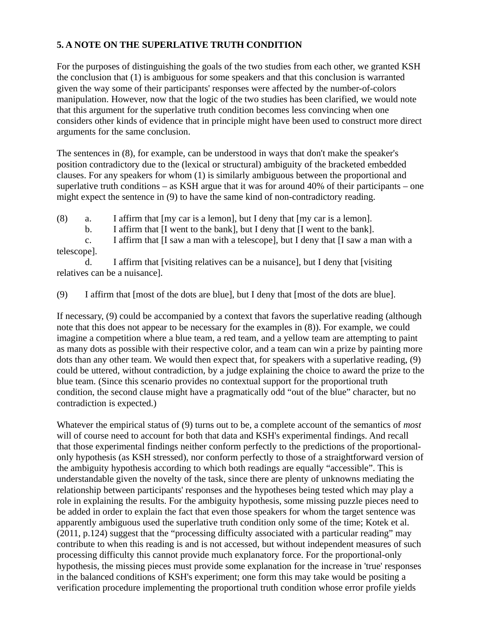### **5. A NOTE ON THE SUPERLATIVE TRUTH CONDITION**

For the purposes of distinguishing the goals of the two studies from each other, we granted KSH the conclusion that (1) is ambiguous for some speakers and that this conclusion is warranted given the way some of their participants' responses were affected by the number-of-colors manipulation. However, now that the logic of the two studies has been clarified, we would note that this argument for the superlative truth condition becomes less convincing when one considers other kinds of evidence that in principle might have been used to construct more direct arguments for the same conclusion.

The sentences in (8), for example, can be understood in ways that don't make the speaker's position contradictory due to the (lexical or structural) ambiguity of the bracketed embedded clauses. For any speakers for whom (1) is similarly ambiguous between the proportional and superlative truth conditions – as KSH argue that it was for around 40% of their participants – one might expect the sentence in (9) to have the same kind of non-contradictory reading.

(8) a. I affirm that  $[my \text{ car is a lemma}]$ , but I deny that  $[my \text{ car is a lemma}]$ .

b. I affirm that [I went to the bank], but I deny that [I went to the bank].

c. I affirm that [I saw a man with a telescope], but I deny that [I saw a man with a telescope].

d. I affirm that [visiting relatives can be a nuisance], but I deny that [visiting relatives can be a nuisance].

(9) I affirm that [most of the dots are blue], but I deny that [most of the dots are blue].

If necessary, (9) could be accompanied by a context that favors the superlative reading (although note that this does not appear to be necessary for the examples in (8)). For example, we could imagine a competition where a blue team, a red team, and a yellow team are attempting to paint as many dots as possible with their respective color, and a team can win a prize by painting more dots than any other team. We would then expect that, for speakers with a superlative reading, (9) could be uttered, without contradiction, by a judge explaining the choice to award the prize to the blue team. (Since this scenario provides no contextual support for the proportional truth condition, the second clause might have a pragmatically odd "out of the blue" character, but no contradiction is expected.)

Whatever the empirical status of (9) turns out to be, a complete account of the semantics of *most* will of course need to account for both that data and KSH's experimental findings. And recall that those experimental findings neither conform perfectly to the predictions of the proportionalonly hypothesis (as KSH stressed), nor conform perfectly to those of a straightforward version of the ambiguity hypothesis according to which both readings are equally "accessible". This is understandable given the novelty of the task, since there are plenty of unknowns mediating the relationship between participants' responses and the hypotheses being tested which may play a role in explaining the results. For the ambiguity hypothesis, some missing puzzle pieces need to be added in order to explain the fact that even those speakers for whom the target sentence was apparently ambiguous used the superlative truth condition only some of the time; Kotek et al. (2011, p.124) suggest that the "processing difficulty associated with a particular reading" may contribute to when this reading is and is not accessed, but without independent measures of such processing difficulty this cannot provide much explanatory force. For the proportional-only hypothesis, the missing pieces must provide some explanation for the increase in 'true' responses in the balanced conditions of KSH's experiment; one form this may take would be positing a verification procedure implementing the proportional truth condition whose error profile yields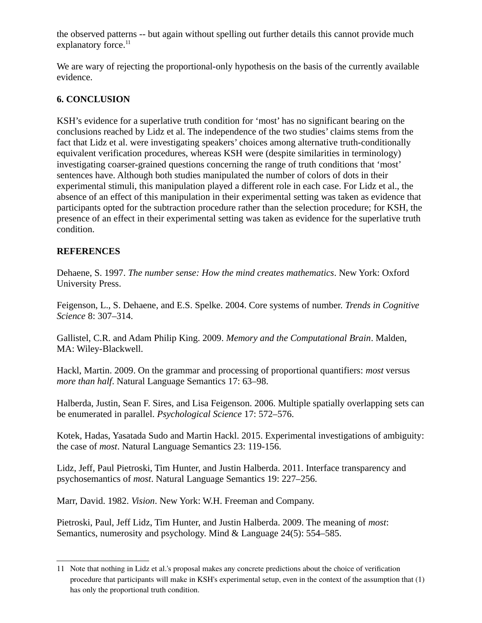the observed patterns -- but again without spelling out further details this cannot provide much explanatory force.<sup>[11](#page-13-0)</sup>

We are wary of rejecting the proportional-only hypothesis on the basis of the currently available evidence.

# **6. CONCLUSION**

KSH's evidence for a superlative truth condition for 'most' has no significant bearing on the conclusions reached by Lidz et al. The independence of the two studies' claims stems from the fact that Lidz et al. were investigating speakers' choices among alternative truth-conditionally equivalent verification procedures, whereas KSH were (despite similarities in terminology) investigating coarser-grained questions concerning the range of truth conditions that 'most' sentences have. Although both studies manipulated the number of colors of dots in their experimental stimuli, this manipulation played a different role in each case. For Lidz et al., the absence of an effect of this manipulation in their experimental setting was taken as evidence that participants opted for the subtraction procedure rather than the selection procedure; for KSH, the presence of an effect in their experimental setting was taken as evidence for the superlative truth condition.

### **REFERENCES**

Dehaene, S. 1997. *The number sense: How the mind creates mathematics*. New York: Oxford University Press.

Feigenson, L., S. Dehaene, and E.S. Spelke. 2004. Core systems of number. *Trends in Cognitive Science* 8: 307–314.

Gallistel, C.R. and Adam Philip King. 2009. *Memory and the Computational Brain*. Malden, MA: Wiley-Blackwell.

Hackl, Martin. 2009. On the grammar and processing of proportional quantifiers: *most* versus *more than half*. Natural Language Semantics 17: 63–98.

Halberda, Justin, Sean F. Sires, and Lisa Feigenson. 2006. Multiple spatially overlapping sets can be enumerated in parallel. *Psychological Science* 17: 572–576.

Kotek, Hadas, Yasatada Sudo and Martin Hackl. 2015. Experimental investigations of ambiguity: the case of *most*. Natural Language Semantics 23: 119-156.

Lidz, Jeff, Paul Pietroski, Tim Hunter, and Justin Halberda. 2011. Interface transparency and psychosemantics of *most*. Natural Language Semantics 19: 227–256.

Marr, David. 1982. *Vision*. New York: W.H. Freeman and Company.

Pietroski, Paul, Jeff Lidz, Tim Hunter, and Justin Halberda. 2009. The meaning of *most*: Semantics, numerosity and psychology. Mind & Language 24(5): 554–585.

<span id="page-13-0"></span><sup>11</sup> Note that nothing in Lidz et al.'s proposal makes any concrete predictions about the choice of verification procedure that participants will make in KSH's experimental setup, even in the context of the assumption that (1) has only the proportional truth condition.